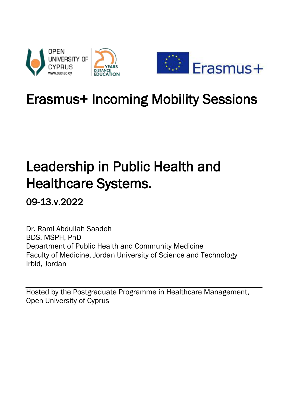

## Erasmus+ Incoming Mobility Sessions

# Leadership in Public Health and Healthcare Systems.

09-13.v.2022

Dr. Rami Abdullah Saadeh BDS, MSPH, PhD Department of Public Health and Community Medicine Faculty of Medicine, Jordan University of Science and Technology Irbid, Jordan

Hosted by the Postgraduate Programme in Healthcare Management, Open University of Cyprus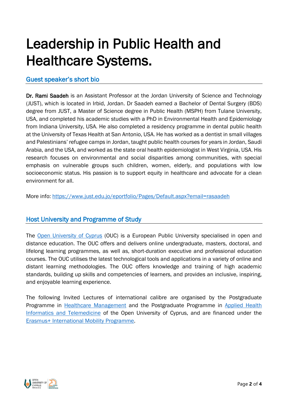## Leadership in Public Health and Healthcare Systems.

## Guest speaker's short bio

Dr. Rami Saadeh is an Assistant Professor at the Jordan University of Science and Technology (JUST), which is located in Irbid, Jordan. Dr Saadeh earned a Bachelor of Dental Surgery (BDS) degree from JUST, a Master of Science degree in Public Health (MSPH) from Tulane University, USA, and completed his academic studies with a PhD in Environmental Health and Epidemiology from Indiana University, USA. He also completed a residency programme in dental public health at the University of Texas Health at San Antonio, USA. He has worked as a dentist in small villages and Palestinians' refugee camps in Jordan, taught public health courses for years in Jordan, Saudi Arabia, and the USA, and worked as the state oral health epidemiologist in West Virginia, USA. His research focuses on environmental and social disparities among communities, with special emphasis on vulnerable groups such children, women, elderly, and populations with low socioeconomic status. His passion is to support equity in healthcare and advocate for a clean environment for all.

More info:<https://www.just.edu.jo/eportfolio/Pages/Default.aspx?email=rasaadeh>

## Host University and Programme of Study

The [Open University of Cyprus](https://www.ouc.ac.cy/index.php/en/) (OUC) is a European Public University specialised in open and distance education. The OUC offers and delivers online undergraduate, masters, doctoral, and lifelong learning programmes, as well as, short-duration executive and professional education courses. The OUC utilises the latest technological tools and applications in a variety of online and distant learning methodologies. The OUC offers knowledge and training of high academic standards, building up skills and competencies of learners, and provides an inclusive, inspiring, and enjoyable learning experience.

The following Invited Lectures of international calibre are organised by the Postgraduate Programme in [Healthcare Management](https://www.ouc.ac.cy/index.php/en/studies/master/studies-degrees-master-dmy) and the Postgraduate Programme in [Applied Health](https://www.ouc.ac.cy/index.php/en/studies/master/studies-degrees-master-ept)  [Informatics and Telemedicine](https://www.ouc.ac.cy/index.php/en/studies/master/studies-degrees-master-ept) of the Open University of Cyprus, and are financed under the [Erasmus+ International Mobility Programme.](https://www.ouc.ac.cy/index.php/en/university/internationalrelations/erasmus/erasmus-international)

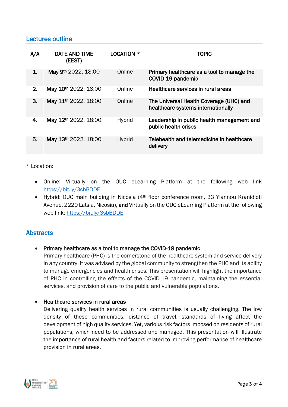## Lectures outline

| A/A | <b>DATE AND TIME</b><br>(EEST)   | LOCATION *    | TOPIC                                                                         |
|-----|----------------------------------|---------------|-------------------------------------------------------------------------------|
| 1.  | May 9th 2022, 18:00              | Online        | Primary healthcare as a tool to manage the<br>COVID-19 pandemic               |
| 2.  | May 10th 2022, 18:00             | Online        | Healthcare services in rural areas                                            |
| 3.  | May 11 <sup>th</sup> 2022, 18:00 | Online        | The Universal Health Coverage (UHC) and<br>healthcare systems internationally |
| 4.  | May 12th 2022, 18:00             | <b>Hybrid</b> | Leadership in public health management and<br>public health crises            |
| 5.  | May 13th 2022, 18:00             | <b>Hybrid</b> | Telehealth and telemedicine in healthcare<br>delivery                         |

\* Location:

- Online: Virtually on the OUC eLearning Platform at the following web link <https://bit.ly/3sbBDDE>
- Hybrid: OUC main building in Nicosia (4<sup>th</sup> floor conference room, 33 Yiannou Kranidioti Avenue, 2220 Latsia, Nicosia), and Virtually on the OUC eLearning Platform at the following web link: <https://bit.ly/3sbBDDE>

## **Abstracts**

## Primary healthcare as a tool to manage the COVID-19 pandemic

Primary healthcare (PHC) is the cornerstone of the healthcare system and service delivery in any country. It was advised by the global community to strengthen the PHC and its ability to manage emergencies and health crises. This presentation will highlight the importance of PHC in controlling the effects of the COVID-19 pandemic, maintaining the essential services, and provision of care to the public and vulnerable populations.

#### Healthcare services in rural areas

Delivering quality health services in rural communities is usually challenging. The low density of these communities, distance of travel, standards of living affect the development of high quality services. Yet, various risk factors imposed on residents of rural populations, which need to be addressed and managed. This presentation will illustrate the importance of rural health and factors related to improving performance of healthcare provision in rural areas.